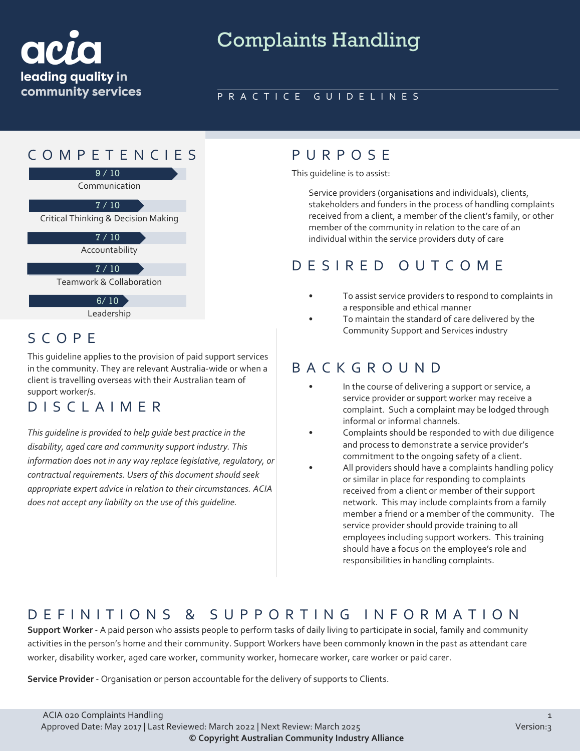

# Complaints Handling

#### PRACTICE GUIDELINES

## COMPETENCIES PURPOS E



 $6/10$ 

Leadership

This guideline applies to the provision of paid support services in the community. They are relevant Australia-wide or when a client is travelling overseas with their Australian team of support worker/s.

## DISCLAIMER

*This guideline is provided to help guide best practice in the disability, aged care and community support industry. This information does not in any way replace legislative, regulatory, or contractual requirements. Users of this document should seek appropriate expert advice in relation to their circumstances. ACIA does not accept any liability on the use of this guideline.*

This guideline is to assist:

Service providers (organisations and individuals), clients, stakeholders and funders in the process of handling complaints received from a client, a member of the client's family, or other member of the community in relation to the care of an individual within the service providers duty of care

### DESIRED OUTCOME

- To assist service providers to respond to complaints in a responsible and ethical manner
- To maintain the standard of care delivered by the S C O P F SALL STATES SUPPORT AND RESERVICES IN Community Support and Services industry

### BACKGROUND

- In the course of delivering a support or service, a service provider or support worker may receive a complaint. Such a complaint may be lodged through informal or informal channels.
- Complaints should be responded to with due diligence and process to demonstrate a service provider's commitment to the ongoing safety of a client.
- All providers should have a complaints handling policy or similar in place for responding to complaints received from a client or member of their support network. This may include complaints from a family member a friend or a member of the community. The service provider should provide training to all employees including support workers. This training should have a focus on the employee's role and responsibilities in handling complaints.

## DEFINITIONS & SUPPORTING INFORMATIO N

**Support Worker** - A paid person who assists people to perform tasks of daily living to participate in social, family and community activities in the person's home and their community. Support Workers have been commonly known in the past as attendant care worker, disability worker, aged care worker, community worker, homecare worker, care worker or paid carer.

**Service Provider** - Organisation or person accountable for the delivery of supports to Clients.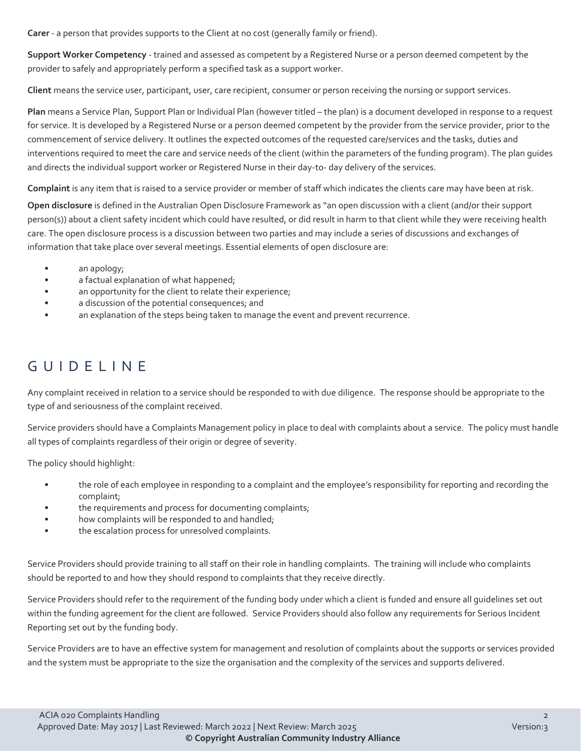**Carer** - a person that provides supports to the Client at no cost (generally family or friend).

**Support Worker Competency** - trained and assessed as competent by a Registered Nurse or a person deemed competent by the provider to safely and appropriately perform a specified task as a support worker.

**Client** means the service user, participant, user, care recipient, consumer or person receiving the nursing or support services.

**Plan** means a Service Plan, Support Plan or Individual Plan (however titled – the plan) is a document developed in response to a request for service. It is developed by a Registered Nurse or a person deemed competent by the provider from the service provider, prior to the commencement of service delivery. It outlines the expected outcomes of the requested care/services and the tasks, duties and interventions required to meet the care and service needs of the client (within the parameters of the funding program). The plan guides and directs the individual support worker or Registered Nurse in their day-to- day delivery of the services.

**Complaint** is any item that is raised to a service provider or member of staff which indicates the clients care may have been at risk.

**Open disclosure** is defined in the Australian Open Disclosure Framework as "an open discussion with a client (and/or their support person(s)) about a client safety incident which could have resulted, or did result in harm to that client while they were receiving health care. The open disclosure process is a discussion between two parties and may include a series of discussions and exchanges of information that take place over several meetings. Essential elements of open disclosure are:

- an apology;
- a factual explanation of what happened;
- an opportunity for the client to relate their experience;
- a discussion of the potential consequences; and
- an explanation of the steps being taken to manage the event and prevent recurrence.

## GUIDELINE

Any complaint received in relation to a service should be responded to with due diligence. The response should be appropriate to the type of and seriousness of the complaint received.

Service providers should have a Complaints Management policy in place to deal with complaints about a service. The policy must handle all types of complaints regardless of their origin or degree of severity.

The policy should highlight:

- the role of each employee in responding to a complaint and the employee's responsibility for reporting and recording the complaint;
- the requirements and process for documenting complaints;
- how complaints will be responded to and handled;
- the escalation process for unresolved complaints.

Service Providers should provide training to all staff on their role in handling complaints. The training will include who complaints should be reported to and how they should respond to complaints that they receive directly.

Service Providers should refer to the requirement of the funding body under which a client is funded and ensure all guidelines set out within the funding agreement for the client are followed. Service Providers should also follow any requirements for Serious Incident Reporting set out by the funding body.

Service Providers are to have an effective system for management and resolution of complaints about the supports or services provided and the system must be appropriate to the size the organisation and the complexity of the services and supports delivered.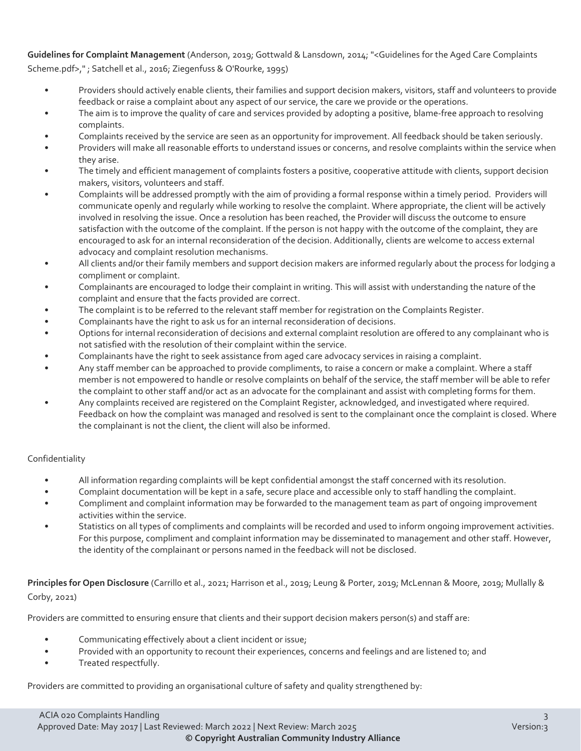**Guidelines for Complaint Management** (Anderson, 2019; Gottwald & Lansdown, 2014; "<Guidelines for the Aged Care Complaints Scheme.pdf>," ; Satchell et al., 2016; Ziegenfuss & O'Rourke, 1995)

- Providers should actively enable clients, their families and support decision makers, visitors, staff and volunteers to provide feedback or raise a complaint about any aspect of our service, the care we provide or the operations.
- The aim is to improve the quality of care and services provided by adopting a positive, blame-free approach to resolving complaints.
- Complaints received by the service are seen as an opportunity for improvement. All feedback should be taken seriously.
- Providers will make all reasonable efforts to understand issues or concerns, and resolve complaints within the service when they arise.
- The timely and efficient management of complaints fosters a positive, cooperative attitude with clients, support decision makers, visitors, volunteers and staff.
- Complaints will be addressed promptly with the aim of providing a formal response within a timely period. Providers will communicate openly and regularly while working to resolve the complaint. Where appropriate, the client will be actively involved in resolving the issue. Once a resolution has been reached, the Provider will discuss the outcome to ensure satisfaction with the outcome of the complaint. If the person is not happy with the outcome of the complaint, they are encouraged to ask for an internal reconsideration of the decision. Additionally, clients are welcome to access external advocacy and complaint resolution mechanisms.
- All clients and/or their family members and support decision makers are informed regularly about the process for lodging a compliment or complaint.
- Complainants are encouraged to lodge their complaint in writing. This will assist with understanding the nature of the complaint and ensure that the facts provided are correct.
- The complaint is to be referred to the relevant staff member for registration on the Complaints Register.
- Complainants have the right to ask us for an internal reconsideration of decisions.
- Options for internal reconsideration of decisions and external complaint resolution are offered to any complainant who is not satisfied with the resolution of their complaint within the service.
- Complainants have the right to seek assistance from aged care advocacy services in raising a complaint.
- Any staff member can be approached to provide compliments, to raise a concern or make a complaint. Where a staff member is not empowered to handle or resolve complaints on behalf of the service, the staff member will be able to refer the complaint to other staff and/or act as an advocate for the complainant and assist with completing forms for them.
- Any complaints received are registered on the Complaint Register, acknowledged, and investigated where required. Feedback on how the complaint was managed and resolved is sent to the complainant once the complaint is closed. Where the complainant is not the client, the client will also be informed.

#### Confidentiality

- All information regarding complaints will be kept confidential amongst the staff concerned with its resolution.
- Complaint documentation will be kept in a safe, secure place and accessible only to staff handling the complaint.
- Compliment and complaint information may be forwarded to the management team as part of ongoing improvement activities within the service.
- Statistics on all types of compliments and complaints will be recorded and used to inform ongoing improvement activities. For this purpose, compliment and complaint information may be disseminated to management and other staff. However, the identity of the complainant or persons named in the feedback will not be disclosed.

**Principles for Open Disclosure** (Carrillo et al., 2021; Harrison et al., 2019; Leung & Porter, 2019; McLennan & Moore, 2019; Mullally & Corby, 2021)

Providers are committed to ensuring ensure that clients and their support decision makers person(s) and staff are:

- Communicating effectively about a client incident or issue;
- Provided with an opportunity to recount their experiences, concerns and feelings and are listened to; and
- Treated respectfully.

Providers are committed to providing an organisational culture of safety and quality strengthened by: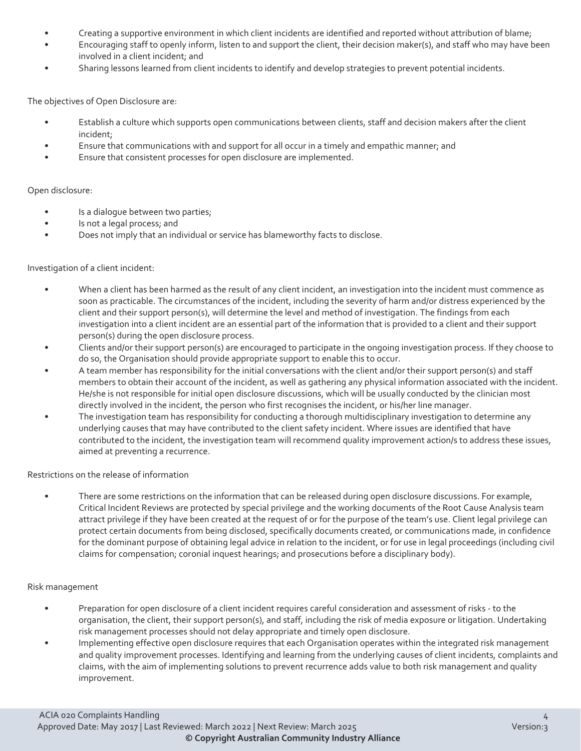- Creating a supportive environment in which client incidents are identified and reported without attribution of blame;
- Encouraging staff to openly inform, listen to and support the client, their decision maker(s), and staff who may have been involved in a client incident; and
- Sharing lessons learned from client incidents to identify and develop strategies to prevent potential incidents.

The objectives of Open Disclosure are:

- Establish a culture which supports open communications between clients, staff and decision makers after the client incident;
- Ensure that communications with and support for all occur in a timely and empathic manner; and
- Ensure that consistent processes for open disclosure are implemented.

#### Open disclosure:

- Is a dialogue between two parties;
- Is not a legal process; and
- Does not imply that an individual or service has blameworthy facts to disclose.

#### Investigation of a client incident:

- When a client has been harmed as the result of any client incident, an investigation into the incident must commence as soon as practicable. The circumstances of the incident, including the severity of harm and/or distress experienced by the client and their support person(s), will determine the level and method of investigation. The findings from each investigation into a client incident are an essential part of the information that is provided to a client and their support person(s) during the open disclosure process.
- Clients and/or their support person(s) are encouraged to participate in the ongoing investigation process. If they choose to do so, the Organisation should provide appropriate support to enable this to occur.
- A team member has responsibility for the initial conversations with the client and/or their support person(s) and staff members to obtain their account of the incident, as well as gathering any physical information associated with the incident. He/she is not responsible for initial open disclosure discussions, which will be usually conducted by the clinician most directly involved in the incident, the person who first recognises the incident, or his/her line manager.
- The investigation team has responsibility for conducting a thorough multidisciplinary investigation to determine any underlying causes that may have contributed to the client safety incident. Where issues are identified that have contributed to the incident, the investigation team will recommend quality improvement action/s to address these issues, aimed at preventing a recurrence.

Restrictions on the release of information

• There are some restrictions on the information that can be released during open disclosure discussions. For example, Critical Incident Reviews are protected by special privilege and the working documents of the Root Cause Analysis team attract privilege if they have been created at the request of or for the purpose of the team's use. Client legal privilege can protect certain documents from being disclosed, specifically documents created, or communications made, in confidence for the dominant purpose of obtaining legal advice in relation to the incident, or for use in legal proceedings (including civil claims for compensation; coronial inquest hearings; and prosecutions before a disciplinary body).

#### Risk management

- Preparation for open disclosure of a client incident requires careful consideration and assessment of risks to the organisation, the client, their support person(s), and staff, including the risk of media exposure or litigation. Undertaking risk management processes should not delay appropriate and timely open disclosure.
- Implementing effective open disclosure requires that each Organisation operates within the integrated risk management and quality improvement processes. Identifying and learning from the underlying causes of client incidents, complaints and claims, with the aim of implementing solutions to prevent recurrence adds value to both risk management and quality improvement.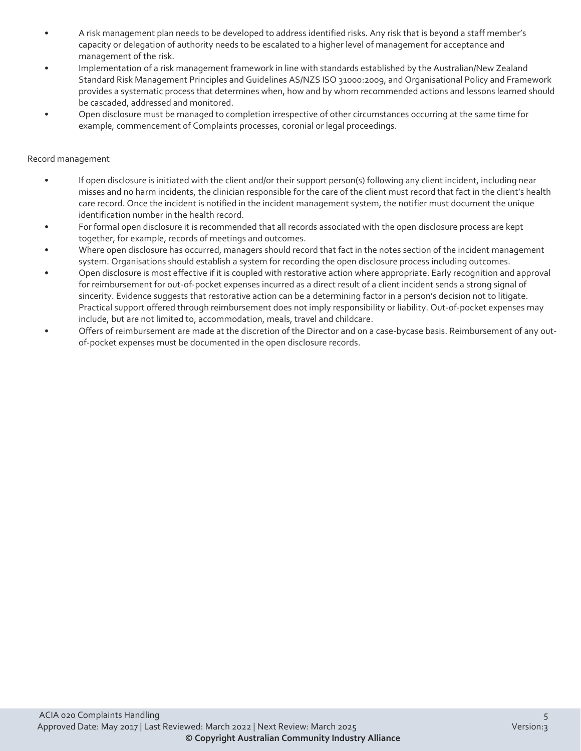- A risk management plan needs to be developed to address identified risks. Any risk that is beyond a staff member's capacity or delegation of authority needs to be escalated to a higher level of management for acceptance and management of the risk.
- Implementation of a risk management framework in line with standards established by the Australian/New Zealand Standard Risk Management Principles and Guidelines AS/NZS ISO 31000:2009, and Organisational Policy and Framework provides a systematic process that determines when, how and by whom recommended actions and lessons learned should be cascaded, addressed and monitored.
- Open disclosure must be managed to completion irrespective of other circumstances occurring at the same time for example, commencement of Complaints processes, coronial or legal proceedings.

#### Record management

- If open disclosure is initiated with the client and/or their support person(s) following any client incident, including near misses and no harm incidents, the clinician responsible for the care of the client must record that fact in the client's health care record. Once the incident is notified in the incident management system, the notifier must document the unique identification number in the health record.
- For formal open disclosure it is recommended that all records associated with the open disclosure process are kept together, for example, records of meetings and outcomes.
- Where open disclosure has occurred, managers should record that fact in the notes section of the incident management system. Organisations should establish a system for recording the open disclosure process including outcomes.
- Open disclosure is most effective if it is coupled with restorative action where appropriate. Early recognition and approval for reimbursement for out-of-pocket expenses incurred as a direct result of a client incident sends a strong signal of sincerity. Evidence suggests that restorative action can be a determining factor in a person's decision not to litigate. Practical support offered through reimbursement does not imply responsibility or liability. Out-of-pocket expenses may include, but are not limited to, accommodation, meals, travel and childcare.
- Offers of reimbursement are made at the discretion of the Director and on a case-bycase basis. Reimbursement of any outof-pocket expenses must be documented in the open disclosure records.